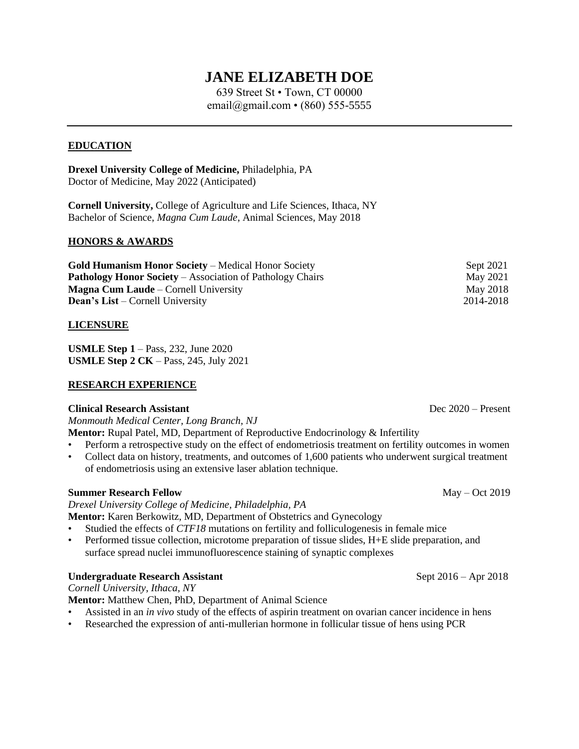# **JANE ELIZABETH DOE**

639 Street St • Town, CT 00000 email@gmail.com • (860) 555-5555

### **EDUCATION**

**Drexel University College of Medicine,** Philadelphia, PA Doctor of Medicine, May 2022 (Anticipated)

**Cornell University,** College of Agriculture and Life Sciences, Ithaca, NY Bachelor of Science, *Magna Cum Laude*, Animal Sciences, May 2018

#### **HONORS & AWARDS**

| <b>Gold Humanism Honor Society – Medical Honor Society</b>       | Sept 2021       |
|------------------------------------------------------------------|-----------------|
| <b>Pathology Honor Society – Association of Pathology Chairs</b> | May 2021        |
| <b>Magna Cum Laude</b> – Cornell University                      | <b>May 2018</b> |
| <b>Dean's List</b> – Cornell University                          | 2014-2018       |

#### **LICENSURE**

**USMLE Step 1** – Pass, 232, June 2020 **USMLE Step 2 CK** – Pass, 245, July 2021

### **RESEARCH EXPERIENCE**

#### **Clinical Research Assistant** Dec 2020 – Present

*Monmouth Medical Center, Long Branch, NJ*

**Mentor:** Rupal Patel, MD, Department of Reproductive Endocrinology & Infertility

- Perform a retrospective study on the effect of endometriosis treatment on fertility outcomes in women
- Collect data on history, treatments, and outcomes of 1,600 patients who underwent surgical treatment of endometriosis using an extensive laser ablation technique.

#### **Summer Research Fellow** May – Oct 2019

*Drexel University College of Medicine, Philadelphia, PA*

**Mentor:** Karen Berkowitz, MD, Department of Obstetrics and Gynecology

- Studied the effects of *CTF18* mutations on fertility and folliculogenesis in female mice
- Performed tissue collection, microtome preparation of tissue slides, H+E slide preparation, and surface spread nuclei immunofluorescence staining of synaptic complexes

#### **Undergraduate Research Assistant** Sept 2016 – Apr 2018

*Cornell University*, *Ithaca, NY*

**Mentor:** Matthew Chen, PhD, Department of Animal Science

- Assisted in an *in vivo* study of the effects of aspirin treatment on ovarian cancer incidence in hens
- Researched the expression of anti-mullerian hormone in follicular tissue of hens using PCR